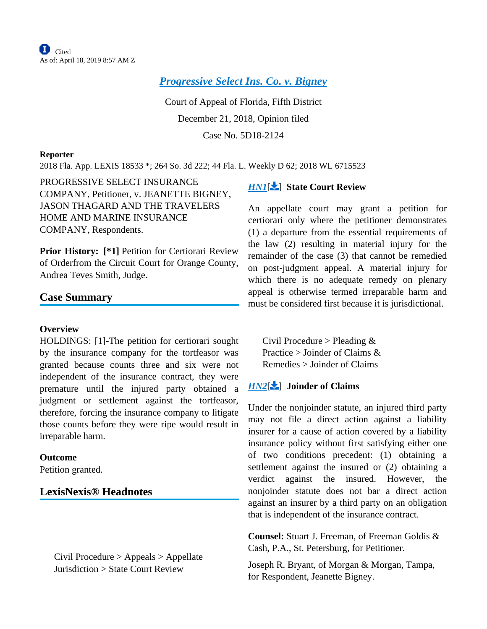*[Progressive Select Ins. Co. v. Bigney](http://configure.this.manually.for.dev/api/document?collection=cases&id=urn:contentItem:5V15-7G11-JPP5-2409-00000-00&context=)*

Court of Appeal of Florida, Fifth District December 21, 2018, Opinion filed Case No. 5D18-2124

#### **Reporter**

2018 Fla. App. LEXIS 18533 \*; 264 So. 3d 222; 44 Fla. L. Weekly D 62; 2018 WL 6715523

PROGRESSIVE SELECT INSURANCE COMPANY, Petitioner, v. JEANETTE BIGNEY, JASON THAGARD AND THE TRAVELERS HOME AND MARINE INSURANCE COMPANY, Respondents.

Prior History: [\*1] Petition for Certiorari Review of Orderfrom the Circuit Court for Orange County, Andrea Teves Smith, Judge.

### **Case Summary**

#### **Overview**

HOLDINGS: [1]-The petition for certiorari sought by the insurance company for the tortfeasor was granted because counts three and six were not independent of the insurance contract, they were premature until the injured party obtained a judgment or settlement against the tortfeasor, therefore, forcing the insurance company to litigate those counts before they were ripe would result in irreparable harm.

#### **Outcome**

Petition granted.

### **LexisNexis® Headnotes**

Civil Procedure > Appeals > Appellate Jurisdiction > State Court Review

# **[HN1](http://configure.this.manually.for.dev/api/document?collection=cases&id=urn:contentItem:5V15-7G11-JPP5-2409-00000-00&context=&link=LNHNREFclscc1)[2**] State Court Review

An appellate court may grant a petition for certiorari only where the petitioner demonstrates (1) a departure from the essential requirements of the law (2) resulting in material injury for the remainder of the case (3) that cannot be remedied on post-judgment appeal. A material injury for which there is no adequate remedy on plenary appeal is otherwise termed irreparable harm and must be considered first because it is jurisdictional.

<span id="page-0-0"></span>Civil Procedure > Pleading  $&$ Practice  $>$  Joinder of Claims  $\&$ Remedies > Joinder of Claims

### *[HN2](http://configure.this.manually.for.dev/api/document?collection=cases&id=urn:contentItem:5V15-7G11-JPP5-2409-00000-00&context=&link=LNHNREFclscc2)*[ ] **Joinder of Claims**

Under the nonjoinder statute, an injured third party may not file a direct action against a liability insurer for a cause of action covered by a liability insurance policy without first satisfying either one of two conditions precedent: (1) obtaining a settlement against the insured or (2) obtaining a verdict against the insured. However, the nonjoinder statute does not bar a direct action against an insurer by a third party on an obligation that is independent of the insurance contract.

**Counsel:** Stuart J. Freeman, of Freeman Goldis & Cash, P.A., St. Petersburg, for Petitioner.

Joseph R. Bryant, of Morgan & Morgan, Tampa, for Respondent, Jeanette Bigney.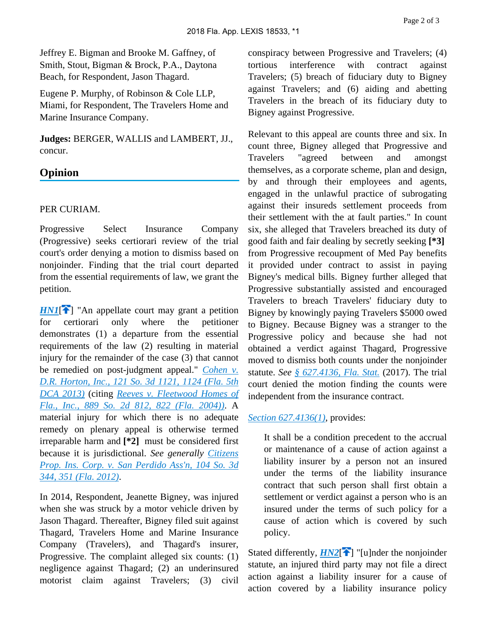Jeffrey E. Bigman and Brooke M. Gaffney, of Smith, Stout, Bigman & Brock, P.A., Daytona Beach, for Respondent, Jason Thagard.

Eugene P. Murphy, of Robinson & Cole LLP, Miami, for Respondent, The Travelers Home and Marine Insurance Company.

**Judges:** BERGER, WALLIS and LAMBERT, JJ., concur.

# **Opinion**

# PER CURIAM.

Progressive Select Insurance Company (Progressive) seeks certiorari review of the trial court's order denying a motion to dismiss based on nonjoinder. Finding that the trial court departed from the essential requirements of law, we grant the petition.

*[HN1](http://configure.this.manually.for.dev/api/document?collection=cases&id=urn:contentItem:5V15-7G11-JPP5-2409-00000-00&context=&link=clscc1)*<sup>2</sup>] "An appellate court may grant a petition for certiorari only where the petitioner demonstrates (1) a departure from the essential requirements of the law (2) resulting in material injury for the remainder of the case (3) that cannot be remedied on post-judgment appeal." *[Cohen v.](http://configure.this.manually.for.dev/api/document?collection=cases&id=urn:contentItem:5964-YRP1-F07Y-100D-00000-00&context=)  [D.R. Horton, Inc., 121 So. 3d 1121, 1124 \(Fla. 5th](http://configure.this.manually.for.dev/api/document?collection=cases&id=urn:contentItem:5964-YRP1-F07Y-100D-00000-00&context=)  [DCA 2013\)](http://configure.this.manually.for.dev/api/document?collection=cases&id=urn:contentItem:5964-YRP1-F07Y-100D-00000-00&context=)* (citing *[Reeves v. Fleetwood Homes of](http://configure.this.manually.for.dev/api/document?collection=cases&id=urn:contentItem:4F1Y-6T10-0039-418V-00000-00&context=)  [Fla., Inc., 889 So. 2d 812, 822 \(Fla. 2004\)\)](http://configure.this.manually.for.dev/api/document?collection=cases&id=urn:contentItem:4F1Y-6T10-0039-418V-00000-00&context=)*. A material injury for which there is no adequate remedy on plenary appeal is otherwise termed irreparable harm and **[\*2]** must be considered first because it is jurisdictional. *See generally [Citizens](http://configure.this.manually.for.dev/api/document?collection=cases&id=urn:contentItem:5727-JN01-F04F-R1VV-00000-00&context=)  [Prop. Ins. Corp. v. San Perdido Ass'n, 104 So. 3d](http://configure.this.manually.for.dev/api/document?collection=cases&id=urn:contentItem:5727-JN01-F04F-R1VV-00000-00&context=)  [344, 351 \(Fla. 2012\)](http://configure.this.manually.for.dev/api/document?collection=cases&id=urn:contentItem:5727-JN01-F04F-R1VV-00000-00&context=)*.

In 2014, Respondent, Jeanette Bigney, was injured when she was struck by a motor vehicle driven by Jason Thagard. Thereafter, Bigney filed suit against Thagard, Travelers Home and Marine Insurance Company (Travelers), and Thagard's insurer, Progressive. The complaint alleged six counts: (1) negligence against Thagard; (2) an underinsured motorist claim against Travelers; (3) civil conspiracy between Progressive and Travelers; (4) tortious interference with contract against Travelers; (5) breach of fiduciary duty to Bigney against Travelers; and (6) aiding and abetting Travelers in the breach of its fiduciary duty to Bigney against Progressive.

Relevant to this appeal are counts three and six. In count three, Bigney alleged that Progressive and Travelers "agreed between and amongst themselves, as a corporate scheme, plan and design, by and through their employees and agents, engaged in the unlawful practice of subrogating against their insureds settlement proceeds from their settlement with the at fault parties." In count six, she alleged that Travelers breached its duty of good faith and fair dealing by secretly seeking **[\*3]**  from Progressive recoupment of Med Pay benefits it provided under contract to assist in paying Bigney's medical bills. Bigney further alleged that Progressive substantially assisted and encouraged Travelers to breach Travelers' fiduciary duty to Bigney by knowingly paying Travelers \$5000 owed to Bigney. Because Bigney was a stranger to the Progressive policy and because she had not obtained a verdict against Thagard, Progressive moved to dismiss both counts under the nonjoinder statute. *See [§ 627.4136, Fla. Stat.](http://configure.this.manually.for.dev/api/document?collection=statutes-legislation&id=urn:contentItem:5C24-MM11-6SKW-D4N5-00000-00&context=)* (2017). The trial court denied the motion finding the counts were independent from the insurance contract.

## *[Section 627.4136\(1\)](http://configure.this.manually.for.dev/api/document?collection=statutes-legislation&id=urn:contentItem:5C24-MM11-6SKW-D4N5-00000-00&context=)*, provides:

It shall be a condition precedent to the accrual or maintenance of a cause of action against a liability insurer by a person not an insured under the terms of the liability insurance contract that such person shall first obtain a settlement or verdict against a person who is an insured under the terms of such policy for a cause of action which is covered by such policy.

Stated differently,  $H N2$ <sup>[\[](#page-0-0) $\uparrow$ </sup>] "[u]nder the nonjoinder statute, an injured third party may not file a direct action against a liability insurer for a cause of action covered by a liability insurance policy